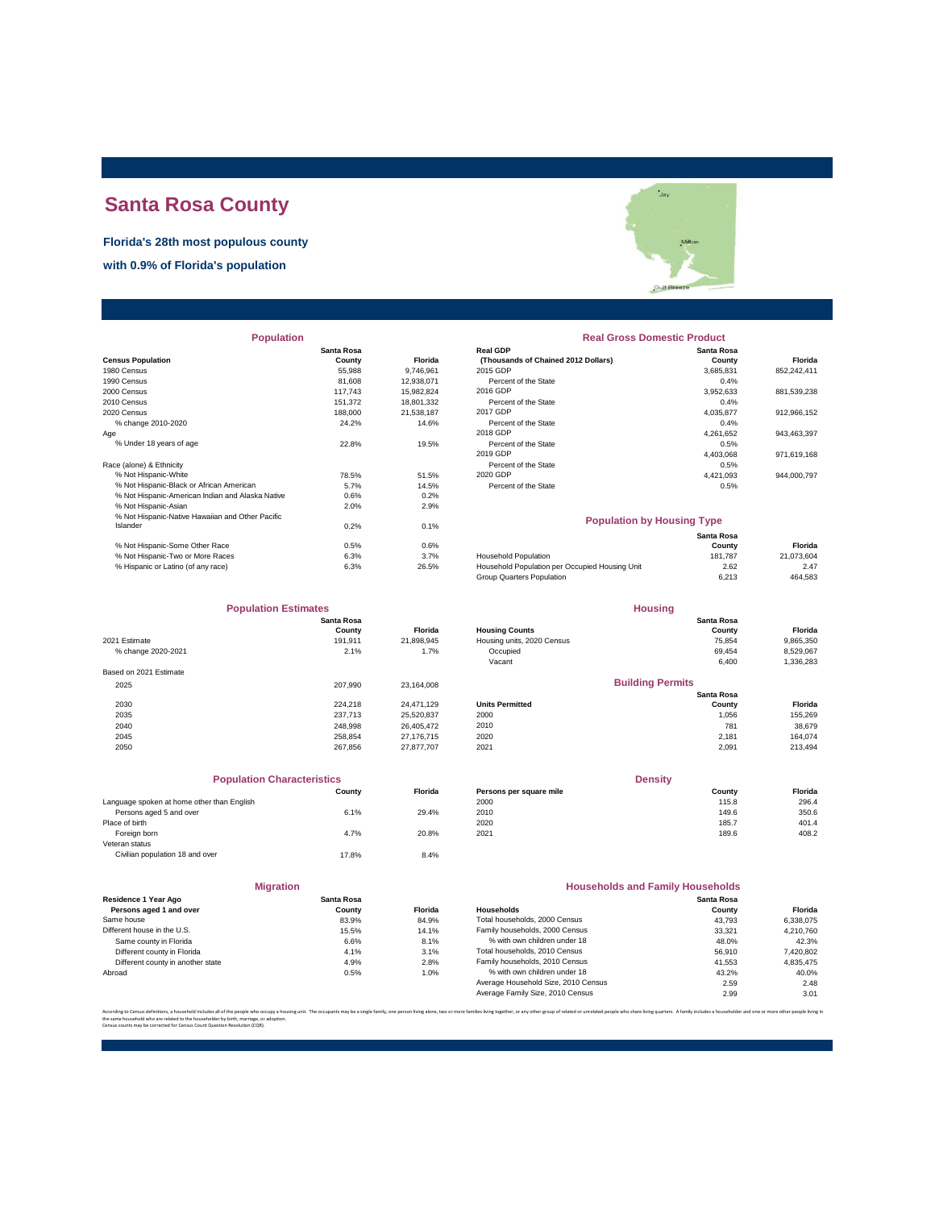# **Santa Rosa County**

#### **Florida's 28th most populous county**

**with 0.9% of Florida's population**



| <b>Population</b>                                |            |                | <b>Real Gross Domestic Product</b>             |            |             |  |
|--------------------------------------------------|------------|----------------|------------------------------------------------|------------|-------------|--|
|                                                  | Santa Rosa |                | <b>Real GDP</b>                                | Santa Rosa |             |  |
| <b>Census Population</b>                         | County     | <b>Florida</b> | (Thousands of Chained 2012 Dollars)            | County     | Florida     |  |
| 1980 Census                                      | 55,988     | 9,746,961      | 2015 GDP                                       | 3,685,831  | 852,242,411 |  |
| 1990 Census                                      | 81.608     | 12,938,071     | Percent of the State                           | 0.4%       |             |  |
| 2000 Census                                      | 117.743    | 15,982,824     | 2016 GDP                                       | 3,952,633  | 881,539,238 |  |
| 2010 Census                                      | 151.372    | 18,801,332     | Percent of the State                           | 0.4%       |             |  |
| 2020 Census                                      | 188,000    | 21,538,187     | 2017 GDP                                       | 4,035,877  | 912,966,152 |  |
| % change 2010-2020                               | 24.2%      | 14.6%          | Percent of the State                           | 0.4%       |             |  |
| Age                                              |            |                | 2018 GDP                                       | 4,261,652  | 943,463,397 |  |
| % Under 18 years of age                          | 22.8%      | 19.5%          | Percent of the State                           | 0.5%       |             |  |
|                                                  |            |                | 2019 GDP                                       | 4,403,068  | 971,619,168 |  |
| Race (alone) & Ethnicity                         |            |                | Percent of the State                           | 0.5%       |             |  |
| % Not Hispanic-White                             | 78.5%      | 51.5%          | 2020 GDP                                       | 4,421,093  | 944,000,797 |  |
| % Not Hispanic-Black or African American         | 5.7%       | 14.5%          | Percent of the State                           | 0.5%       |             |  |
| % Not Hispanic-American Indian and Alaska Native | 0.6%       | 0.2%           |                                                |            |             |  |
| % Not Hispanic-Asian                             | 2.0%       | 2.9%           |                                                |            |             |  |
| % Not Hispanic-Native Hawaiian and Other Pacific |            |                | <b>Population by Housing Type</b>              |            |             |  |
| Islander                                         | 0.2%       | 0.1%           |                                                |            |             |  |
|                                                  |            |                |                                                | Santa Rosa |             |  |
| % Not Hispanic-Some Other Race                   | 0.5%       | 0.6%           |                                                | County     | Florida     |  |
| % Not Hispanic-Two or More Races                 | 6.3%       | 3.7%           | Household Population                           | 181,787    | 21,073,604  |  |
| % Hispanic or Latino (of any race)               | 6.3%       | 26.5%          | Household Population per Occupied Housing Unit | 2.62       | 2.47        |  |

| <b>Population Estimates</b> |                   |                | <b>Housing</b>             |                         |           |
|-----------------------------|-------------------|----------------|----------------------------|-------------------------|-----------|
|                             | <b>Santa Rosa</b> |                |                            | Santa Rosa              |           |
|                             | County            | <b>Florida</b> | <b>Housing Counts</b>      | County                  | Florida   |
| 2021 Estimate               | 191.911           | 21.898.945     | Housing units, 2020 Census | 75.854                  | 9,865,350 |
| % change 2020-2021          | 2.1%              | 1.7%           | Occupied                   | 69,454                  | 8,529,067 |
|                             |                   |                | Vacant                     | 6,400                   | 1,336,283 |
| Based on 2021 Estimate      |                   |                |                            |                         |           |
| 2025                        | 207.990           | 23.164.008     |                            | <b>Building Permits</b> |           |
|                             |                   |                |                            | Santa Rosa              |           |
| 2030                        | 224.218           | 24.471.129     | <b>Units Permitted</b>     | County                  | Florida   |
| 2035                        | 237.713           | 25,520,837     | 2000                       | 1,056                   | 155,269   |
| 2040                        | 248.998           | 26.405.472     | 2010                       | 781                     | 38,679    |
| 2045                        | 258.854           | 27.176.715     | 2020                       | 2.181                   | 164,074   |
| 2050                        | 267.856           | 27.877.707     | 2021                       | 2,091                   | 213,494   |
|                             |                   |                |                            |                         |           |

| <b>Population Characteristics</b> |         |                         | <b>Density</b> |         |  |
|-----------------------------------|---------|-------------------------|----------------|---------|--|
| County                            | Florida | Persons per square mile | County         | Florida |  |
|                                   |         | 2000                    | 115.8          | 296.4   |  |
| 6.1%                              | 29.4%   | 2010                    | 149.6          | 350.6   |  |
|                                   |         | 2020                    | 185.7          | 401.4   |  |
| 4.7%                              | 20.8%   | 2021                    | 189.6          | 408.2   |  |
|                                   |         |                         |                |         |  |
| 17.8%                             | 8.4%    |                         |                |         |  |
|                                   |         |                         |                |         |  |

|                                                 | <b>Migration</b>     |         |                     |
|-------------------------------------------------|----------------------|---------|---------------------|
| Residence 1 Year Ago<br>Persons aged 1 and over | Santa Rosa<br>County | Florida | Households          |
| Same house                                      | 83.9%                | 84.9%   | <b>Total houser</b> |
| Different house in the U.S.                     | 15.5%                | 14.1%   | Family house        |
| Same county in Florida                          | 6.6%                 | 8.1%    | % with ov           |
| Different county in Florida                     | 4.1%                 | 3.1%    | <b>Total houser</b> |
| Different county in another state               | 4.9%                 | 2.8%    | Family house        |
| Abroad                                          | 0.5%                 | 1.0%    | % with ov           |
|                                                 |                      |         | Average Hou         |

#### **Santa Rosa Real Gross Domestic Product**

|                                          | Santa Rosa |                | <b>Real GDP</b>                     | Santa Rosa |             |  |
|------------------------------------------|------------|----------------|-------------------------------------|------------|-------------|--|
| sus Population                           | County     | <b>Florida</b> | (Thousands of Chained 2012 Dollars) | County     | Florida     |  |
| 0 Census                                 | 55.988     | 9.746.961      | 2015 GDP                            | 3.685.831  | 852.242.411 |  |
| 0 Census                                 | 81.608     | 12.938.071     | Percent of the State                | 0.4%       |             |  |
| 0 Census                                 | 117.743    | 15.982.824     | 2016 GDP                            | 3,952,633  | 881,539,238 |  |
| 0 Census                                 | 151.372    | 18,801,332     | Percent of the State                | 0.4%       |             |  |
| 0 Census                                 | 188,000    | 21.538.187     | 2017 GDP                            | 4.035.877  | 912.966.152 |  |
| % change 2010-2020                       | 24.2%      | 14.6%          | Percent of the State                | 0.4%       |             |  |
|                                          |            |                | 2018 GDP                            | 4.261.652  | 943.463.397 |  |
| % Under 18 vears of age                  | 22.8%      | 19.5%          | Percent of the State                | 0.5%       |             |  |
|                                          |            |                | 2019 GDP                            | 4.403.068  | 971,619,168 |  |
| e (alone) & Ethnicity                    |            |                | Percent of the State                | 0.5%       |             |  |
| % Not Hispanic-White                     | 78.5%      | 51.5%          | 2020 GDP                            | 4.421.093  | 944.000.797 |  |
| % Not Hispanic-Black or African American | 5.7%       | 14.5%          | Percent of the State                | 0.5%       |             |  |
|                                          |            |                |                                     |            |             |  |

#### **Population by Housing Type**

|                                    |      |       |                                                | Santa Rosa |            |
|------------------------------------|------|-------|------------------------------------------------|------------|------------|
| % Not Hispanic-Some Other Race     | 0.5% | 0.6%  |                                                | County     | Florida    |
| % Not Hispanic-Two or More Races   | 6.3% | 3.7%  | <b>Household Population</b>                    | 181.787    | 21.073.604 |
| % Hispanic or Latino (of any race) | 6.3% | 26.5% | Household Population per Occupied Housing Unit | 2.62       | 2.47       |
|                                    |      |       | Group Quarters Population                      | 6.213      | 464.583    |

| <b>Population Estimates</b> |            |                | <b>Housing</b>             |            |           |
|-----------------------------|------------|----------------|----------------------------|------------|-----------|
|                             | Santa Rosa |                |                            | Santa Rosa |           |
|                             | County     | <b>Florida</b> | <b>Housing Counts</b>      | County     | Florida   |
| 1 Estimate                  | 191.911    | 21.898.945     | Housing units, 2020 Census | 75.854     | 9.865.350 |
| % change 2020-2021          | 2.1%       | 1.7%           | Occupied                   | 69.454     | 8.529.067 |
|                             |            |                | Vacant                     | 6,400      | 1,336,283 |
| ed on 2021 Estimate         |            |                |                            |            |           |

## 2030 224,218 24,471,129 **Units Permitted Santa Rosa<br>
County**<br>
1,056<br>
781<br>
2,181<br>
2,091 **Florida**<br>155,269 **Building Permits**

| <b>Population Characteristics</b>       |        |         | <b>Density</b>          |        |         |
|-----------------------------------------|--------|---------|-------------------------|--------|---------|
|                                         | County | Florida | Persons per square mile | County | Florida |
| guage spoken at home other than English |        |         | 2000                    | 115.8  | 296.4   |
| Persons aged 5 and over                 | 6.1%   | 29.4%   | 2010                    | 149.6  | 350.6   |
| e of birth                              |        |         | 2020                    | 185.7  | 401.4   |
| Foreign born                            | 4.7%   | 20.8%   | 2021                    | 189.6  | 408.2   |
|                                         |        |         |                         |        |         |

| <b>Migration</b>                                |                      | <b>Households and Family Households</b> |                                     |                      |           |
|-------------------------------------------------|----------------------|-----------------------------------------|-------------------------------------|----------------------|-----------|
| Residence 1 Year Ago<br>Persons aged 1 and over | Santa Rosa<br>County | <b>Florida</b>                          | <b>Households</b>                   | Santa Rosa<br>County | Florida   |
| Same house                                      | 83.9%                | 84.9%                                   | Total households, 2000 Census       | 43.793               | 6,338,075 |
| Different house in the U.S.                     | 15.5%                | 14.1%                                   | Family households, 2000 Census      | 33.321               | 4.210.760 |
| Same county in Florida                          | 6.6%                 | 8.1%                                    | % with own children under 18        | 48.0%                | 42.3%     |
| Different county in Florida                     | 4.1%                 | 3.1%                                    | Total households, 2010 Census       | 56,910               | 7,420,802 |
| Different county in another state               | 4.9%                 | 2.8%                                    | Family households, 2010 Census      | 41.553               | 4,835,475 |
| Abroad                                          | 0.5%                 | 1.0%                                    | % with own children under 18        | 43.2%                | 40.0%     |
|                                                 |                      |                                         | Average Household Size, 2010 Census | 2.59                 | 2.48      |
|                                                 |                      |                                         | Average Family Size, 2010 Census    | 2.99                 | 3.01      |

According to Census definitions, a household includes all of the people who occupy a housing unit. The occupants may be a single family, one person living back, two or more families living together, or any other group of r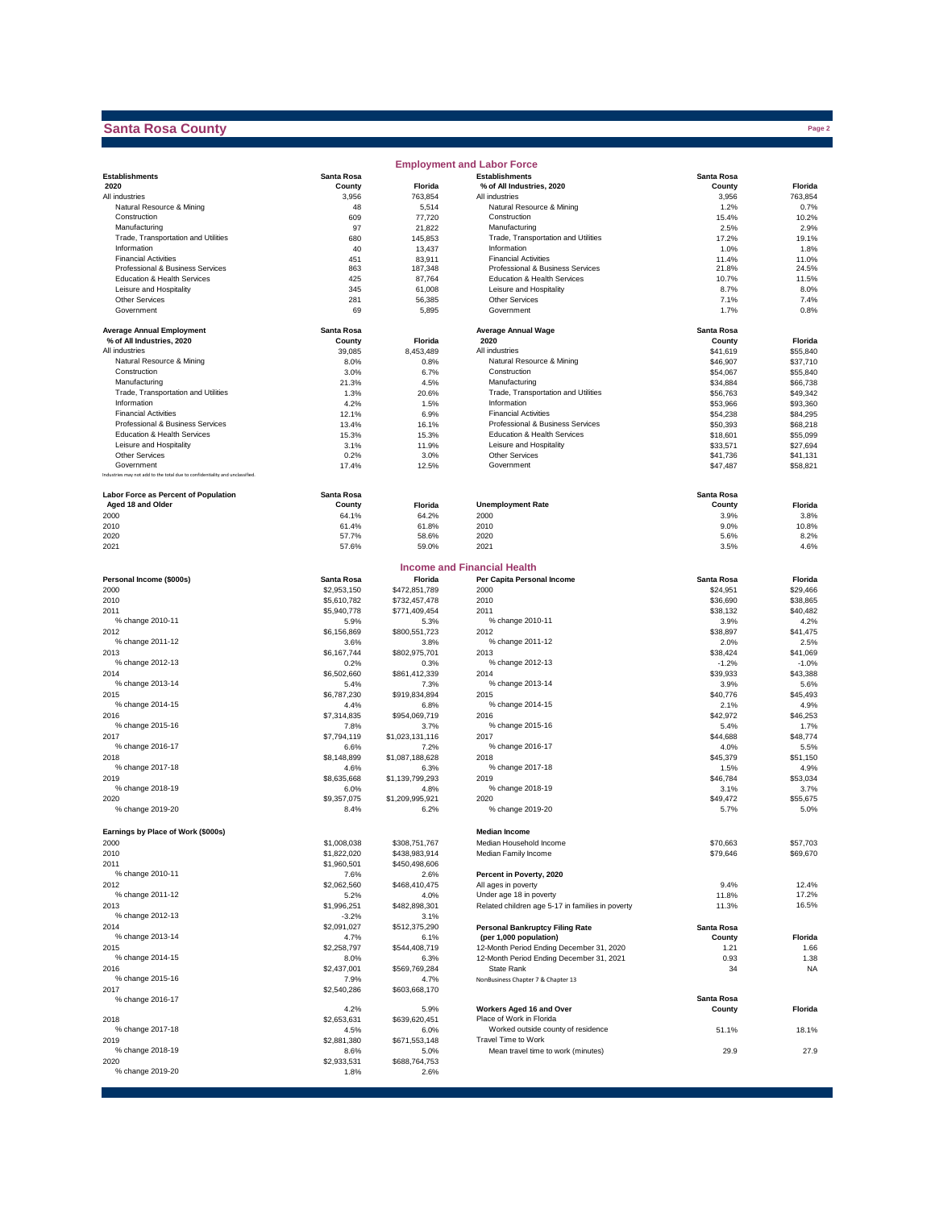## **Santa Rosa County**

|                                                                              |                     |                         | <b>Employment and Labor Force</b>                                           |                      |                      |
|------------------------------------------------------------------------------|---------------------|-------------------------|-----------------------------------------------------------------------------|----------------------|----------------------|
| <b>Establishments</b>                                                        | Santa Rosa          |                         | <b>Establishments</b>                                                       | Santa Rosa           |                      |
| 2020                                                                         | County              | Florida                 | % of All Industries, 2020                                                   | County               | Florida              |
| All industries<br>Natural Resource & Mining                                  | 3,956<br>48         | 763,854<br>5,514        | All industries<br>Natural Resource & Mining                                 | 3,956<br>1.2%        | 763,854<br>0.7%      |
| Construction                                                                 | 609                 | 77,720                  | Construction                                                                | 15.4%                | 10.2%                |
| Manufacturing                                                                | 97                  | 21,822                  | Manufacturing                                                               | 2.5%                 | 2.9%                 |
| Trade, Transportation and Utilities                                          | 680                 | 145,853                 | Trade, Transportation and Utilities                                         | 17.2%                | 19.1%                |
| Information                                                                  | 40                  | 13,437                  | Information                                                                 | 1.0%                 | 1.8%                 |
| <b>Financial Activities</b><br>Professional & Business Services              | 451<br>863          | 83,911<br>187,348       | <b>Financial Activities</b><br>Professional & Business Services             | 11.4%<br>21.8%       | 11.0%<br>24.5%       |
| Education & Health Services                                                  | 425                 | 87,764                  | Education & Health Services                                                 | 10.7%                | 11.5%                |
| Leisure and Hospitality                                                      | 345                 | 61,008                  | Leisure and Hospitality                                                     | 8.7%                 | 8.0%                 |
| <b>Other Services</b>                                                        | 281                 | 56,385                  | Other Services                                                              | 7.1%                 | 7.4%                 |
| Government                                                                   | 69                  | 5,895                   | Government                                                                  | 1.7%                 | 0.8%                 |
| <b>Average Annual Employment</b>                                             | Santa Rosa          |                         | <b>Average Annual Wage</b>                                                  | Santa Rosa           |                      |
| % of All Industries, 2020                                                    | County              | Florida                 | 2020                                                                        | County               | Florida              |
| All industries                                                               | 39,085              | 8,453,489               | All industries                                                              | \$41,619             | \$55,840             |
| Natural Resource & Mining<br>Construction                                    | 8.0%<br>3.0%        | 0.8%<br>6.7%            | Natural Resource & Mining<br>Construction                                   | \$46,907<br>\$54,067 | \$37,710<br>\$55,840 |
| Manufacturing                                                                | 21.3%               | 4.5%                    | Manufacturing                                                               | \$34,884             | \$66,738             |
| Trade, Transportation and Utilities                                          | 1.3%                | 20.6%                   | Trade, Transportation and Utilities                                         | \$56,763             | \$49,342             |
| Information                                                                  | 4.2%                | 1.5%                    | Information                                                                 | \$53,966             | \$93,360             |
| <b>Financial Activities</b>                                                  | 12.1%               | 6.9%                    | <b>Financial Activities</b>                                                 | \$54,238             | \$84,295             |
| Professional & Business Services                                             | 13.4%               | 16.1%                   | Professional & Business Services                                            | \$50,393             | \$68,218             |
| Education & Health Services<br>Leisure and Hospitality                       | 15.3%<br>3.1%       | 15.3%<br>11.9%          | Education & Health Services<br>Leisure and Hospitality                      | \$18,601<br>\$33,571 | \$55,099<br>\$27,694 |
| <b>Other Services</b>                                                        | 0.2%                | 3.0%                    | Other Services                                                              | \$41,736             | \$41,131             |
| Government                                                                   | 17.4%               | 12.5%                   | Government                                                                  | \$47,487             | \$58,821             |
| Industries may not add to the total due to confidentiality and unclassified. |                     |                         |                                                                             |                      |                      |
| <b>Labor Force as Percent of Population</b>                                  | Santa Rosa          |                         |                                                                             | Santa Rosa           |                      |
| Aged 18 and Older                                                            | County              | Florida                 | <b>Unemployment Rate</b>                                                    | County               | Florida              |
| 2000<br>2010                                                                 | 64.1%<br>61.4%      | 64.2%<br>61.8%          | 2000<br>2010                                                                | 3.9%<br>9.0%         | 3.8%<br>10.8%        |
| 2020                                                                         | 57.7%               | 58.6%                   | 2020                                                                        | 5.6%                 | 8.2%                 |
| 2021                                                                         | 57.6%               | 59.0%                   | 2021                                                                        | 3.5%                 | 4.6%                 |
|                                                                              |                     |                         |                                                                             |                      |                      |
| Personal Income (\$000s)                                                     | Santa Rosa          | Florida                 | <b>Income and Financial Health</b><br>Per Capita Personal Income            | Santa Rosa           | Florida              |
| 2000                                                                         | \$2,953,150         | \$472,851,789           | 2000                                                                        | \$24,951             | \$29,466             |
| 2010                                                                         | \$5,610,782         | \$732,457,478           | 2010                                                                        | \$36,690             | \$38,865             |
| 2011                                                                         | \$5,940,778         | \$771,409,454           | 2011                                                                        | \$38,132             | \$40,482             |
| % change 2010-11                                                             | 5.9%                | 5.3%                    | % change 2010-11                                                            | 3.9%                 | 4.2%                 |
| 2012<br>% change 2011-12                                                     | \$6,156,869<br>3.6% | \$800,551,723           | 2012<br>% change 2011-12                                                    | \$38,897<br>2.0%     | \$41,475<br>2.5%     |
| 2013                                                                         | \$6,167,744         | 3.8%<br>\$802,975,701   | 2013                                                                        | \$38,424             | \$41,069             |
| % change 2012-13                                                             | 0.2%                | 0.3%                    | % change 2012-13                                                            | $-1.2%$              | $-1.0%$              |
| 2014                                                                         | \$6,502,660         | \$861,412,339           | 2014                                                                        | \$39,933             | \$43,388             |
| % change 2013-14                                                             | 5.4%                | 7.3%                    | % change 2013-14                                                            | 3.9%                 | 5.6%                 |
| 2015<br>% change 2014-15                                                     | \$6,787,230         | \$919,834,894           | 2015<br>% change 2014-15                                                    | \$40,776             | \$45,493             |
| 2016                                                                         | 4.4%<br>\$7,314,835 | 6.8%<br>\$954,069,719   | 2016                                                                        | 2.1%<br>\$42,972     | 4.9%<br>\$46,253     |
| % change 2015-16                                                             | 7.8%                | 3.7%                    | % change 2015-16                                                            | 5.4%                 | 1.7%                 |
| 2017                                                                         | \$7,794,119         | \$1,023,131,116         | 2017                                                                        | \$44,688             | \$48,774             |
| % change 2016-17                                                             | 6.6%                | 7.2%                    | % change 2016-17                                                            | 4.0%                 | 5.5%                 |
| 2018                                                                         | \$8,148,899         | \$1,087,188,628         | 2018                                                                        | \$45,379             | \$51,150             |
| % change 2017-18<br>2019                                                     | 4.6%<br>\$8,635,668 | 6.3%<br>\$1,139,799,293 | % change 2017-18<br>2019                                                    | 1.5%<br>\$46,784     | 4.9%<br>\$53,034     |
| % change 2018-19                                                             | 6.0%                | 4.8%                    | % change 2018-19                                                            | 3.1%                 | 3.7%                 |
| 2020                                                                         | \$9,357,075         | \$1,209,995,921         | 2020                                                                        | \$49,472             | \$55,675             |
| % change 2019-20                                                             | 8.4%                | 6.2%                    | % change 2019-20                                                            | 5.7%                 | 5.0%                 |
| Earnings by Place of Work (\$000s)                                           |                     |                         | <b>Median Income</b>                                                        |                      |                      |
| 2000                                                                         | \$1,008,038         | \$308,751,767           | Median Household Income                                                     | \$70,663             | \$57,703             |
| 2010                                                                         | \$1,822,020         | \$438,983,914           | Median Family Income                                                        | \$79,646             | \$69,670             |
| 2011                                                                         | \$1,960,501         | \$450,498,606           |                                                                             |                      |                      |
| % change 2010-11                                                             | 7.6%                | 2.6%                    | Percent in Poverty, 2020                                                    |                      |                      |
| 2012                                                                         | \$2,062,560         | \$468,410,475           | All ages in poverty                                                         | 9.4%                 | 12.4%<br>17.2%       |
| % change 2011-12<br>2013                                                     | 5.2%<br>\$1,996,251 | 4.0%<br>\$482,898,301   | Under age 18 in poverty<br>Related children age 5-17 in families in poverty | 11.8%<br>11.3%       | 16.5%                |
| % change 2012-13                                                             | $-3.2%$             | 3.1%                    |                                                                             |                      |                      |
| 2014                                                                         | \$2,091,027         | \$512,375,290           | <b>Personal Bankruptcy Filing Rate</b>                                      | Santa Rosa           |                      |
| % change 2013-14                                                             | 4.7%                | 6.1%                    | (per 1,000 population)                                                      | County               | Florida              |
| 2015                                                                         | \$2,258,797         | \$544,408,719           | 12-Month Period Ending December 31, 2020                                    | 1.21                 | 1.66                 |
| % change 2014-15<br>2016                                                     | 8.0%<br>\$2,437,001 | 6.3%<br>\$569,769,284   | 12-Month Period Ending December 31, 2021<br>State Rank                      | 0.93<br>34           | 1.38<br><b>NA</b>    |
| % change 2015-16                                                             | 7.9%                | 4.7%                    | NonBusiness Chapter 7 & Chapter 13                                          |                      |                      |
| 2017                                                                         | \$2,540,286         | \$603,668,170           |                                                                             |                      |                      |
| % change 2016-17                                                             | 4.2%                | 5.9%                    | Workers Aged 16 and Over                                                    | Santa Rosa<br>County | Florida              |
| 2018                                                                         | \$2,653,631         | \$639,620,451           | Place of Work in Florida                                                    |                      |                      |
| % change 2017-18                                                             | 4.5%                | 6.0%                    | Worked outside county of residence                                          | 51.1%                | 18.1%                |
| 2019                                                                         | \$2,881,380         | \$671,553,148           | Travel Time to Work                                                         |                      |                      |
| % change 2018-19<br>2020                                                     | 8.6%                | 5.0%                    | Mean travel time to work (minutes)                                          | 29.9                 | 27.9                 |
| % change 2019-20                                                             | \$2,933,531<br>1.8% | \$688,764,753<br>2.6%   |                                                                             |                      |                      |